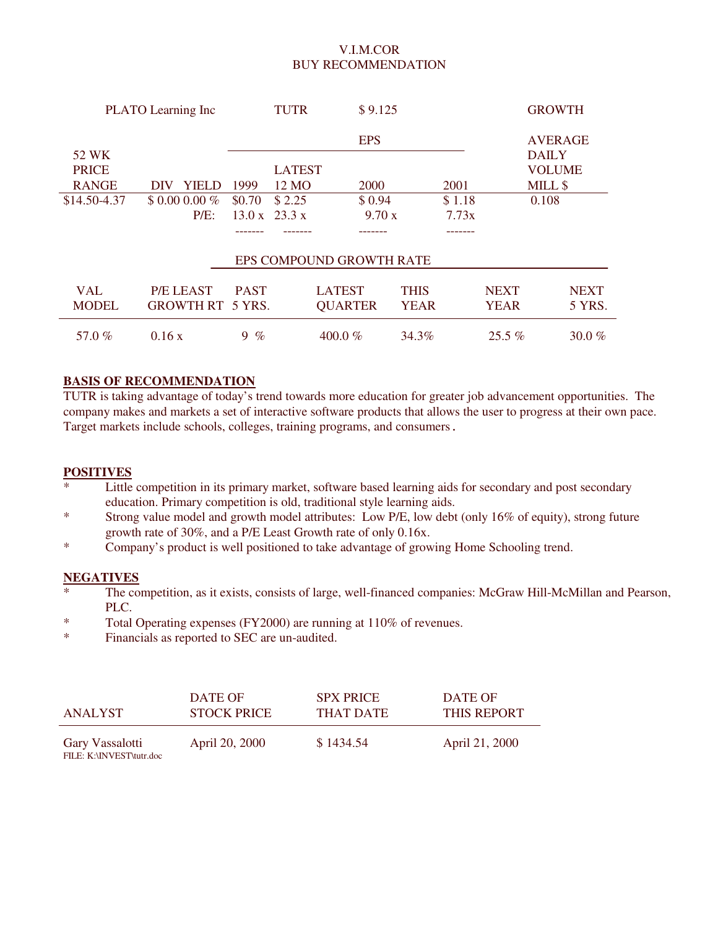### V.I.M.COR BUY RECOMMENDATION

|              | PLATO Learning Inc      |             | TUTR          | \$9.125                  |             |        |             | <b>GROWTH</b>  |
|--------------|-------------------------|-------------|---------------|--------------------------|-------------|--------|-------------|----------------|
|              |                         |             |               | <b>EPS</b>               |             |        |             | <b>AVERAGE</b> |
| 52 WK        |                         |             |               |                          |             |        |             | <b>DAILY</b>   |
| <b>PRICE</b> |                         |             | <b>LATEST</b> |                          |             |        |             | <b>VOLUME</b>  |
| <b>RANGE</b> | YIELD<br>DIV            | 1999        | 12 MO         | 2000                     |             | 2001   |             | MILL \$        |
| \$14.50-4.37 | $$0.000.00\%$           | \$0.70      | \$2.25        | \$0.94                   |             | \$1.18 |             | 0.108          |
|              | $P/E$ :                 | 13.0 x      | 23.3 x        | 9.70 x                   |             | 7.73x  |             |                |
|              |                         |             |               |                          |             |        |             |                |
|              |                         |             |               | EPS COMPOUND GROWTH RATE |             |        |             |                |
| <b>VAL</b>   | <b>P/E LEAST</b>        | <b>PAST</b> |               | <b>LATEST</b>            | <b>THIS</b> |        | <b>NEXT</b> | <b>NEXT</b>    |
| <b>MODEL</b> | <b>GROWTH RT 5 YRS.</b> |             |               | <b>QUARTER</b>           | <b>YEAR</b> |        | <b>YEAR</b> | 5 YRS.         |
| 57.0%        | 0.16x                   | $9 \%$      |               | 400.0 $%$                | 34.3%       |        | $25.5\%$    | 30.0 $%$       |

#### **BASIS OF RECOMMENDATION**

TUTR is taking advantage of today's trend towards more education for greater job advancement opportunities. The company makes and markets a set of interactive software products that allows the user to progress at their own pace. Target markets include schools, colleges, training programs, and consumers.

#### **POSITIVES**

- \* Little competition in its primary market, software based learning aids for secondary and post secondary education. Primary competition is old, traditional style learning aids.
- \* Strong value model and growth model attributes: Low P/E, low debt (only 16% of equity), strong future growth rate of 30%, and a P/E Least Growth rate of only 0.16x.
- \* Company's product is well positioned to take advantage of growing Home Schooling trend.

#### **NEGATIVES**

- The competition, as it exists, consists of large, well-financed companies: McGraw Hill-McMillan and Pearson, PLC.
- \* Total Operating expenses (FY2000) are running at 110% of revenues.
- \* Financials as reported to SEC are un-audited.

| ANALYST                                     | DATE OF            | <b>SPX PRICE</b> | DATE OF        |
|---------------------------------------------|--------------------|------------------|----------------|
|                                             | <b>STOCK PRICE</b> | THAT DATE        | THIS REPORT    |
| Gary Vassalotti<br>FILE: K:\INVEST\tutr.doc | April 20, 2000     | \$1434.54        | April 21, 2000 |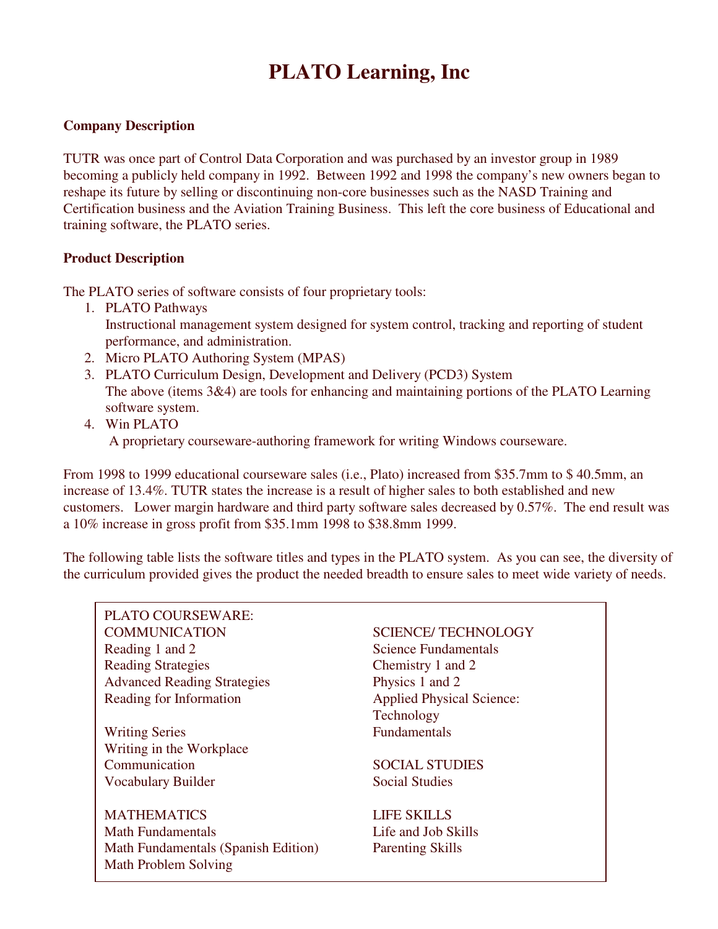# **PLATO Learning, Inc**

## **Company Description**

TUTR was once part of Control Data Corporation and was purchased by an investor group in 1989 becoming a publicly held company in 1992. Between 1992 and 1998 the company's new owners began to reshape its future by selling or discontinuing non-core businesses such as the NASD Training and Certification business and the Aviation Training Business. This left the core business of Educational and training software, the PLATO series.

### **Product Description**

The PLATO series of software consists of four proprietary tools:

- 1. PLATO Pathways Instructional management system designed for system control, tracking and reporting of student performance, and administration.
- 2. Micro PLATO Authoring System (MPAS)
- 3. PLATO Curriculum Design, Development and Delivery (PCD3) System The above (items 3&4) are tools for enhancing and maintaining portions of the PLATO Learning software system.
- 4. Win PLATO A proprietary courseware-authoring framework for writing Windows courseware.

From 1998 to 1999 educational courseware sales (i.e., Plato) increased from \$35.7mm to \$ 40.5mm, an increase of 13.4%. TUTR states the increase is a result of higher sales to both established and new customers. Lower margin hardware and third party software sales decreased by 0.57%. The end result was a 10% increase in gross profit from \$35.1mm 1998 to \$38.8mm 1999.

The following table lists the software titles and types in the PLATO system. As you can see, the diversity of the curriculum provided gives the product the needed breadth to ensure sales to meet wide variety of needs.

PLATO COURSEWARE: COMMUNICATION SCIENCE/ TECHNOLOGY Reading 1 and 2 Science Fundamentals Reading Strategies Chemistry 1 and 2 Advanced Reading Strategies Physics 1 and 2 Reading for Information Applied Physical Science:

Writing Series Fundamentals Writing in the Workplace Communication SOCIAL STUDIES Vocabulary Builder Social Studies

MATHEMATICS LIFE SKILLS Math Fundamentals **Life and Job Skills** Math Fundamentals (Spanish Edition) Parenting Skills Math Problem Solving

Technology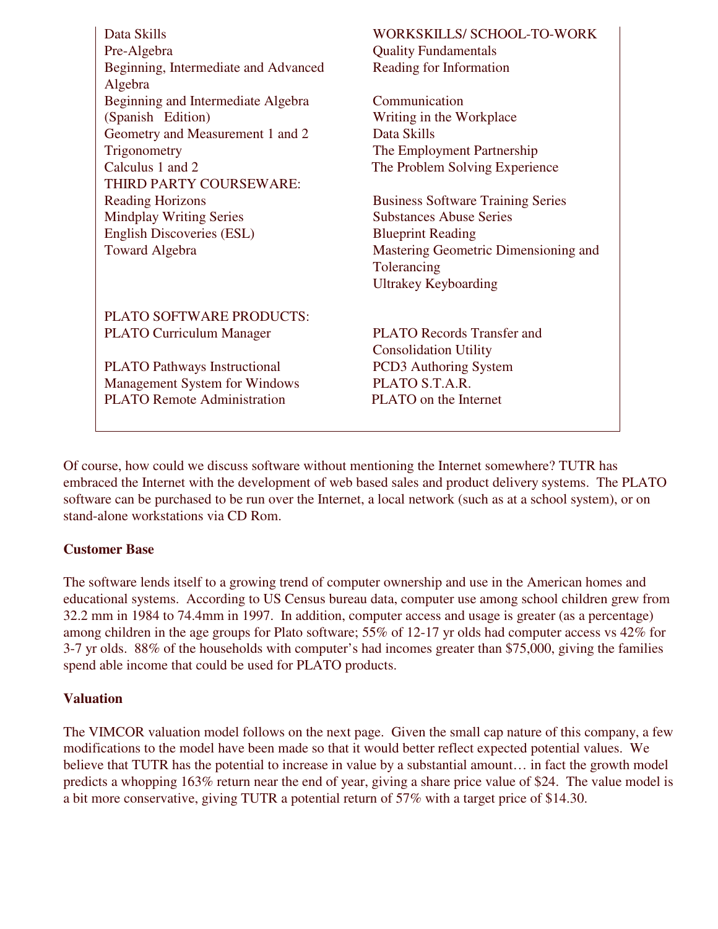| Data Skills<br>Pre-Algebra<br>Beginning, Intermediate and Advanced<br>Algebra                                                                     | WORKSKILLS/ SCHOOL-TO-WORK<br><b>Quality Fundamentals</b><br>Reading for Information                                                                                                         |
|---------------------------------------------------------------------------------------------------------------------------------------------------|----------------------------------------------------------------------------------------------------------------------------------------------------------------------------------------------|
| Beginning and Intermediate Algebra                                                                                                                | Communication                                                                                                                                                                                |
| (Spanish Edition)                                                                                                                                 | Writing in the Workplace                                                                                                                                                                     |
| Geometry and Measurement 1 and 2                                                                                                                  | Data Skills                                                                                                                                                                                  |
| Trigonometry                                                                                                                                      | The Employment Partnership                                                                                                                                                                   |
| Calculus 1 and 2                                                                                                                                  | The Problem Solving Experience                                                                                                                                                               |
| THIRD PARTY COURSEWARE:<br><b>Reading Horizons</b><br><b>Mindplay Writing Series</b><br><b>English Discoveries (ESL)</b><br><b>Toward Algebra</b> | <b>Business Software Training Series</b><br><b>Substances Abuse Series</b><br><b>Blueprint Reading</b><br>Mastering Geometric Dimensioning and<br>Tolerancing<br><b>Ultrakey Keyboarding</b> |
| PLATO SOFTWARE PRODUCTS:                                                                                                                          | <b>PLATO Records Transfer and</b>                                                                                                                                                            |
| <b>PLATO Curriculum Manager</b>                                                                                                                   | <b>Consolidation Utility</b>                                                                                                                                                                 |
| <b>PLATO Pathways Instructional</b>                                                                                                               | PCD3 Authoring System                                                                                                                                                                        |
| <b>Management System for Windows</b>                                                                                                              | PLATO S.T.A.R.                                                                                                                                                                               |
| <b>PLATO Remote Administration</b>                                                                                                                | PLATO on the Internet                                                                                                                                                                        |

Of course, how could we discuss software without mentioning the Internet somewhere? TUTR has embraced the Internet with the development of web based sales and product delivery systems. The PLATO software can be purchased to be run over the Internet, a local network (such as at a school system), or on stand-alone workstations via CD Rom.

## **Customer Base**

The software lends itself to a growing trend of computer ownership and use in the American homes and educational systems. According to US Census bureau data, computer use among school children grew from 32.2 mm in 1984 to 74.4mm in 1997. In addition, computer access and usage is greater (as a percentage) among children in the age groups for Plato software; 55% of 12-17 yr olds had computer access vs 42% for 3-7 yr olds. 88% of the households with computer's had incomes greater than \$75,000, giving the families spend able income that could be used for PLATO products.

## **Valuation**

The VIMCOR valuation model follows on the next page. Given the small cap nature of this company, a few modifications to the model have been made so that it would better reflect expected potential values. We believe that TUTR has the potential to increase in value by a substantial amount... in fact the growth model predicts a whopping 163% return near the end of year, giving a share price value of \$24. The value model is a bit more conservative, giving TUTR a potential return of 57% with a target price of \$14.30.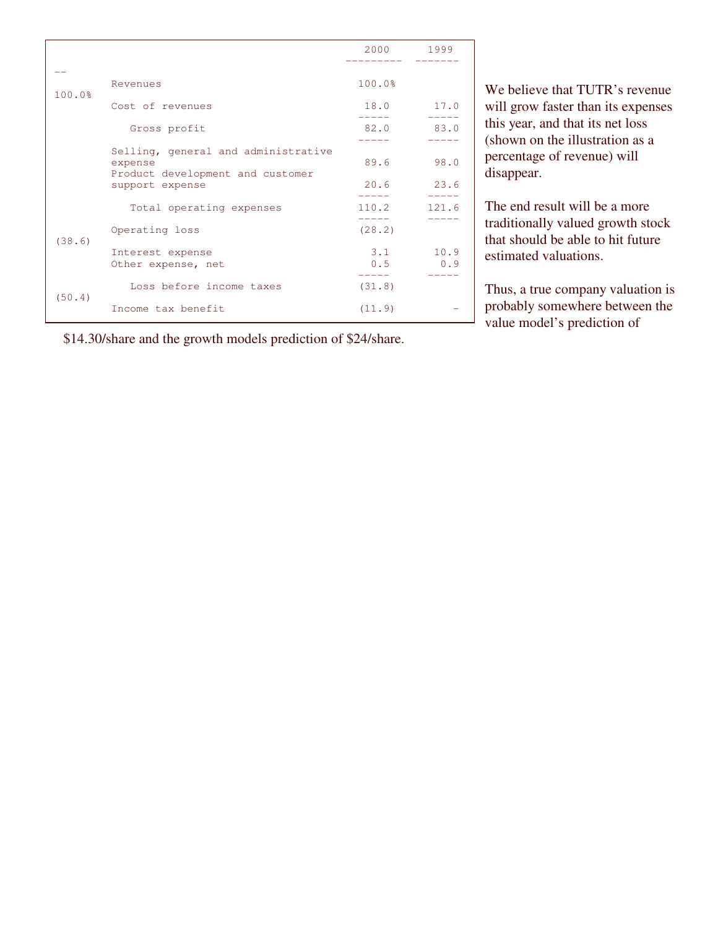|        |                                                                                    | 2000 1999  |             |
|--------|------------------------------------------------------------------------------------|------------|-------------|
| 100.0% | Revenues                                                                           | 100.0%     |             |
|        | Cost of revenues                                                                   | 18.0       | 17.0        |
|        | Gross profit                                                                       | 82.0       | 83.0        |
|        | Selling, general and administrative<br>expense<br>Product development and customer | 89.6       | 98.0        |
|        | support expense                                                                    | 20.6       | 23.6        |
|        | Total operating expenses                                                           | 110.2      | 121.6       |
|        | Operating loss                                                                     | (28.2)     |             |
| (38.6) | Interest expense<br>Other expense, net                                             | 3.1<br>0.5 | 10.9<br>0.9 |
|        | Loss before income taxes                                                           | (31.8)     |             |
| (50.4) | Income tax benefit                                                                 | (11.9)     |             |

\$14.30/share and the growth models prediction of \$24/share.

We believe that TUTR's revenue will grow faster than its expenses this year, and that its net loss (shown on the illustration as a percentage of revenue) will disappear.

The end result will be a more traditionally valued growth stock that should be able to hit future estimated valuations.

Thus, a true company valuation is probably somewhere between the value model's prediction of